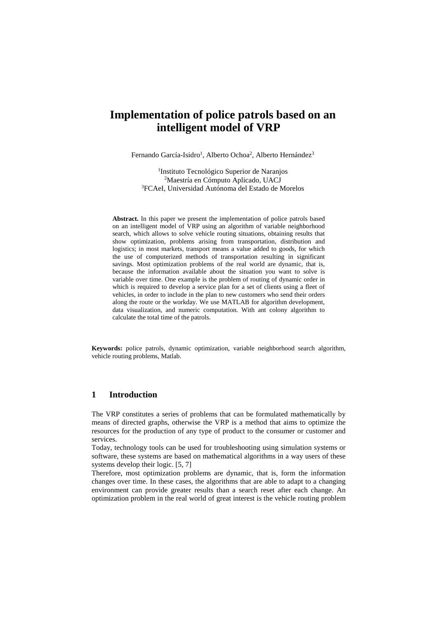# **Implementation of police patrols based on an intelligent model of VRP**

Fernando García-Isidro<sup>1</sup>, Alberto Ochoa<sup>2</sup>, Alberto Hernández<sup>3</sup>

1 Instituto Tecnológico Superior de Naranjos <sup>2</sup>Maestría en Cómputo Aplicado, UACJ <sup>3</sup>FCAeI, Universidad Autónoma del Estado de Morelos

**Abstract.** In this paper we present the implementation of police patrols based on an intelligent model of VRP using an algorithm of variable neighborhood search, which allows to solve vehicle routing situations, obtaining results that show optimization, problems arising from transportation, distribution and logistics; in most markets, transport means a value added to goods, for which the use of computerized methods of transportation resulting in significant savings. Most optimization problems of the real world are dynamic, that is, because the information available about the situation you want to solve is variable over time. One example is the problem of routing of dynamic order in which is required to develop a service plan for a set of clients using a fleet of vehicles, in order to include in the plan to new customers who send their orders along the route or the workday. We use MATLAB for algorithm development, data visualization, and numeric computation. With ant colony algorithm to calculate the total time of the patrols.

**Keywords:** police patrols, dynamic optimization, variable neighborhood search algorithm, vehicle routing problems, Matlab.

## **1 Introduction**

The VRP constitutes a series of problems that can be formulated mathematically by means of directed graphs, otherwise the VRP is a method that aims to optimize the resources for the production of any type of product to the consumer or customer and services.

Today, technology tools can be used for troubleshooting using simulation systems or software, these systems are based on mathematical algorithms in a way users of these systems develop their logic. [5, 7]

Therefore, most optimization problems are dynamic, that is, form the information changes over time. In these cases, the algorithms that are able to adapt to a changing environment can provide greater results than a search reset after each change. An optimization problem in the real world of great interest is the vehicle routing problem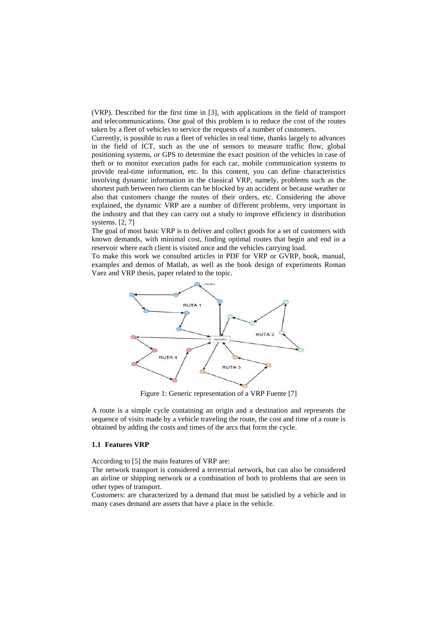(VRP). Described for the first time in [3], with applications in the field of transport and telecommunications. One goal of this problem is to reduce the cost of the routes taken by a fleet of vehicles to service the requests of a number of customers.

Currently, is possible to run a fleet of vehicles in real time, thanks largely to advances in the field of ICT, such as the use of sensors to measure traffic flow, global positioning systems, or GPS to determine the exact position of the vehicles in case of theft or to monitor execution paths for each car, mobile communication systems to provide real-time information, etc. In this content, you can define characteristics involving dynamic information in the classical VRP, namely, problems such as the shortest path between two clients can be blocked by an accident or because weather or also that customers change the routes of their orders, etc. Considering the above explained, the dynamic VRP are a number of different problems, very important in the industry and that they can carry out a study to improve efficiency in distribution systems. [2, 7]

The goal of most basic VRP is to deliver and collect goods for a set of customers with known demands, with minimal cost, finding optimal routes that begin and end in a reservoir where each client is visited once and the vehicles carrying load.

To make this work we consulted articles in PDF for VRP or GVRP, book, manual, examples and demos of Matlab, as well as the book design of experiments Roman Vaez and VRP thesis, paper related to the topic.



Figure 1: Generic representation of a VRP Fuente [7]

A route is a simple cycle containing an origin and a destination and represents the sequence of visits made by a vehicle traveling the route, the cost and time of a route is obtained by adding the costs and times of the arcs that form the cycle.

#### **1.1 Features VRP**

According to [5] the main features of VRP are:

The network transport is considered a terrestrial network, but can also be considered an airline or shipping network or a combination of both to problems that are seen in other types of transport.

Customers: are characterized by a demand that must be satisfied by a vehicle and in many cases demand are assets that have a place in the vehicle.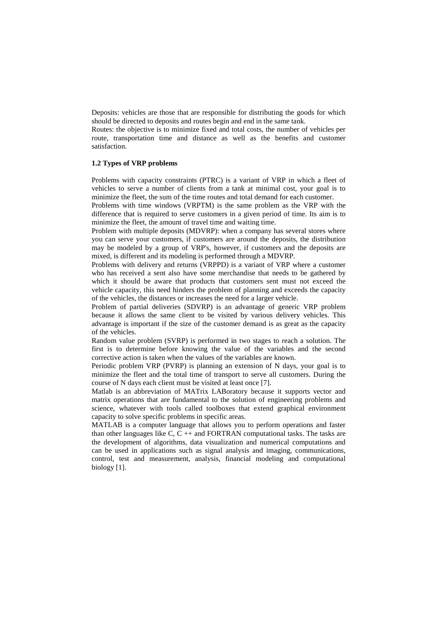Deposits: vehicles are those that are responsible for distributing the goods for which should be directed to deposits and routes begin and end in the same tank.

Routes: the objective is to minimize fixed and total costs, the number of vehicles per route, transportation time and distance as well as the benefits and customer satisfaction.

#### **1.2 Types of VRP problems**

Problems with capacity constraints (PTRC) is a variant of VRP in which a fleet of vehicles to serve a number of clients from a tank at minimal cost, your goal is to minimize the fleet, the sum of the time routes and total demand for each customer.

Problems with time windows (VRPTM) is the same problem as the VRP with the difference that is required to serve customers in a given period of time. Its aim is to minimize the fleet, the amount of travel time and waiting time.

Problem with multiple deposits (MDVRP): when a company has several stores where you can serve your customers, if customers are around the deposits, the distribution may be modeled by a group of VRP's, however, if customers and the deposits are mixed, is different and its modeling is performed through a MDVRP.

Problems with delivery and returns (VRPPD) is a variant of VRP where a customer who has received a sent also have some merchandise that needs to be gathered by which it should be aware that products that customers sent must not exceed the vehicle capacity, this need hinders the problem of planning and exceeds the capacity of the vehicles, the distances or increases the need for a larger vehicle.

Problem of partial deliveries (SDVRP) is an advantage of generic VRP problem because it allows the same client to be visited by various delivery vehicles. This advantage is important if the size of the customer demand is as great as the capacity of the vehicles.

Random value problem (SVRP) is performed in two stages to reach a solution. The first is to determine before knowing the value of the variables and the second corrective action is taken when the values of the variables are known.

Periodic problem VRP (PVRP) is planning an extension of N days, your goal is to minimize the fleet and the total time of transport to serve all customers. During the course of N days each client must be visited at least once [7].

Matlab is an abbreviation of MATrix LABoratory because it supports vector and matrix operations that are fundamental to the solution of engineering problems and science, whatever with tools called toolboxes that extend graphical environment capacity to solve specific problems in specific areas.

MATLAB is a computer language that allows you to perform operations and faster than other languages like C,  $C ++$  and FORTRAN computational tasks. The tasks are the development of algorithms, data visualization and numerical computations and can be used in applications such as signal analysis and imaging, communications, control, test and measurement, analysis, financial modeling and computational biology [1].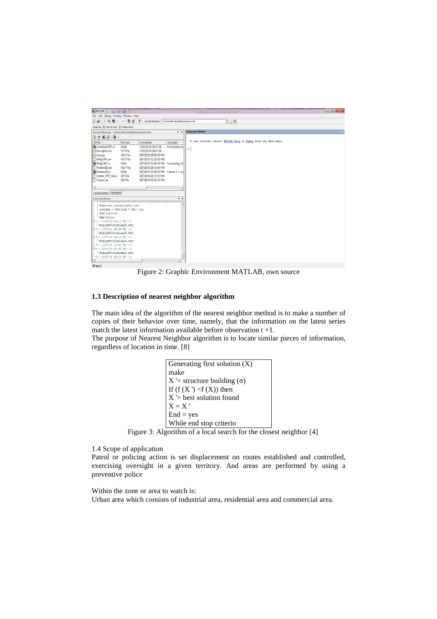| <b>A MATLAB</b>                                                                                                                                                                                                                                                                                                                                                                        |                                                                                                          |                                                                                                                                                                                                                                           |                                                         | $-6-x$                                                          |
|----------------------------------------------------------------------------------------------------------------------------------------------------------------------------------------------------------------------------------------------------------------------------------------------------------------------------------------------------------------------------------------|----------------------------------------------------------------------------------------------------------|-------------------------------------------------------------------------------------------------------------------------------------------------------------------------------------------------------------------------------------------|---------------------------------------------------------|-----------------------------------------------------------------|
| File Edit Debug Desktop Window Help                                                                                                                                                                                                                                                                                                                                                    |                                                                                                          |                                                                                                                                                                                                                                           |                                                         |                                                                 |
| Da<br>1 %                                                                                                                                                                                                                                                                                                                                                                              | 軸島の◎再び                                                                                                   | ಿ<br>Current Directory: C'Users\Fernando\Documents\work                                                                                                                                                                                   |                                                         | 国国国                                                             |
| Shortcuts How to Add Ninet's New                                                                                                                                                                                                                                                                                                                                                       |                                                                                                          |                                                                                                                                                                                                                                           |                                                         |                                                                 |
| Current Directory - C:\Users\Fernando\Documents\work                                                                                                                                                                                                                                                                                                                                   |                                                                                                          |                                                                                                                                                                                                                                           | $*$ $\times$                                            | <b>Command Window</b>                                           |
| 白叶角扇圆。                                                                                                                                                                                                                                                                                                                                                                                 |                                                                                                          |                                                                                                                                                                                                                                           |                                                         |                                                                 |
| All Files L                                                                                                                                                                                                                                                                                                                                                                            | File Type                                                                                                | Lost Modified                                                                                                                                                                                                                             | Description                                             | To get started, select MATLAB Help or Demos from the Help menu. |
| ConstEvalVRP.m<br>Description.txt<br>map.jpg<br>NAIgVRP.asv<br>NAIgVRP.m<br>Problem25.asv<br>Problem25.m<br>Scripts VRP Near<br>Thumbs.db<br>м<br>Current Directory Workspace<br>Command History<br>-Function rad2deg(ByVal rad)<br>$\texttt{rad2dec}$ = CDbl(rad * 180 / pi)<br>-End Function                                                                                         | M-file<br><b>TXT File</b><br>JPG File<br>ASV File<br>M-file<br>ASV File<br>M-file<br>ZIP File<br>DB File | 12/02/2014 08:47:30<br>12/02/2014 08:47:30<br>3/07/2015 09:56:20 PM<br>3/07/2015 10:20:45 PM<br>3/07/2015 10:49:18 PM Formulating dis<br>3/07/2015 09:15:45 PM<br>3/07/2015 10:54:52 PM<br>3/07/2015 08:13:23 PM<br>3/07/2015 09:55:25 PM | Formulating dis<br>Column $1 = \text{ow}$<br>×<br>$X$ 5 | $\rightarrow$                                                   |
| -End Module<br>$\ominus$ -+- 3/07/15 06:17 PM --+<br>-NIAlgVRP (Problem25, 100)<br>E-t-- 3/07/15 08:44 PM --t<br>-WIAlqVRP (Problem25, 180)<br>$-4 - 3/07/15$ 09:10 PM $-4$<br>-NIAlgVRP (Problem25, 100)<br>$-4--3/07/15$ 11:05 PM $-4$<br>$\frac{1}{2}$ -- 4/07/15 03:40 PM -- %<br>-MIAlgVRP (Problem25, 100)<br>$-4 - 6/07/15$ 05:10 PM $-4$<br>$\left  \cdot \right $<br>$A$ case |                                                                                                          |                                                                                                                                                                                                                                           |                                                         |                                                                 |

Figure 2: Graphic Environment MATLAB, own source

#### **1.3 Description of nearest neighbor algorithm**

The main idea of the algorithm of the nearest neighbor method is to make a number of copies of their behavior over time, namely, that the information on the latest series match the latest information available before observation  $t + 1$ .

The purpose of Nearest Neighbor algorithm is to locate similar pieces of information, regardless of location in time. [8]

| Generating first solution (X)       |
|-------------------------------------|
| make                                |
| $X =$ structure building $(\sigma)$ |
| If $(f(X') < f(X))$ then            |
| $X =$ best solution found           |
| $X = X'$                            |
| $End = yes$                         |
| While end stop criterio             |

Figure 3: Algorithm of a local search for the closest neighbor [4]

1.4 Scope of application

Patrol or policing action is set displacement on routes established and controlled, exercising oversight in a given territory. And areas are performed by using a preventive police

Within the zone or area to watch is: Urban area which consists of industrial area, residential area and commercial area.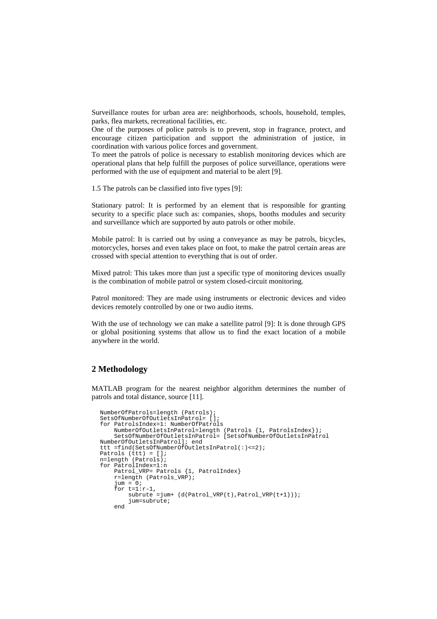Surveillance routes for urban area are: neighborhoods, schools, household, temples, parks, flea markets, recreational facilities, etc.

One of the purposes of police patrols is to prevent, stop in fragrance, protect, and encourage citizen participation and support the administration of justice, in coordination with various police forces and government.

To meet the patrols of police is necessary to establish monitoring devices which are operational plans that help fulfill the purposes of police surveillance, operations were performed with the use of equipment and material to be alert [9].

1.5 The patrols can be classified into five types [9]:

Stationary patrol: It is performed by an element that is responsible for granting security to a specific place such as: companies, shops, booths modules and security and surveillance which are supported by auto patrols or other mobile.

Mobile patrol: It is carried out by using a conveyance as may be patrols, bicycles, motorcycles, horses and even takes place on foot, to make the patrol certain areas are crossed with special attention to everything that is out of order.

Mixed patrol: This takes more than just a specific type of monitoring devices usually is the combination of mobile patrol or system closed-circuit monitoring.

Patrol monitored: They are made using instruments or electronic devices and video devices remotely controlled by one or two audio items.

With the use of technology we can make a satellite patrol [9]: It is done through GPS or global positioning systems that allow us to find the exact location of a mobile anywhere in the world.

#### **2 Methodology**

MATLAB program for the nearest neighbor algorithm determines the number of patrols and total distance, source [11].

```
NumberOfPatrols=length (Patrols); 
SetsOfNumberOfOutletsInPatrol= []; 
for PatrolsIndex=1: NumberOfPatrols 
 NumberOfOutletsInPatrol=length (Patrols {1, PatrolsIndex}); 
 SetsOfNumberOfOutletsInPatrol= [SetsOfNumberOfOutletsInPatrol 
NumberOfOutletsInPatrol]; end 
ttt =find(SetsOfNumberOfOutletsInPatrol(:)<=2); 
Patrols (ttt) = [];
n=length (Patrols); 
for PatrolIndex=1:n 
 Patrol_VRP= Patrols {1, PatrolIndex} 
 r=length (Patrols_VRP); 
     jum = 0;for t=1:r-1,
 subrute =jum+ (d(Patrol_VRP(t),Patrol_VRP(t+1))); 
          jum=subrute; 
     end
```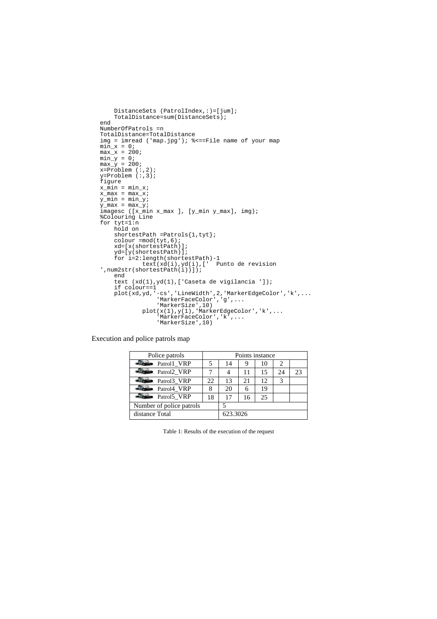```
DistanceSets (PatrolIndex, : ) = [jum];
     TotalDistance=sum(DistanceSets); 
end 
NumberOfPatrols =n 
TotalDistance=TotalDistance 
img = imread ('map.jpg'); %<==File name of your map
min_x = 0;max_{x} = 200;min_y = 0;<br>max_y = 200;
x=Problem (:,2); 
y=Problem (:,3); 
figure 
x<sub>min</sub> = min_x;
x_max = max_x; 
y_min = min_y; 
y_{max} = max_y;imagesc ([x_min x_max ], [y_min y_max], img); 
%Colouring Line 
for tyt=1:n
     hold on 
     shortestPath =Patrols{1,tyt}; 
     colour =mod(tyt,6); 
 xd=[x(shortestPath)]; 
 yd=[y(shortestPath)]; 
 for i=2:length(shortestPath)-1 
 text(xd(i),yd(i),[' Punto de revision 
',num2str(shortestPath(i))]); 
     end 
 text (xd(1),yd(1),['Caseta de vigilancia ']); 
 if colour==1 
 plot(xd,yd,'-cs','LineWidth',2,'MarkerEdgeColor','k',... 
'MarkerFaceColor','g',...<br>'MarkerSize',10)
plot(x(1),y(1),'MarkerEdgeColor','k',...'MarkerFaceColor','k',...<br>'MarkerSize',10)
```
Execution and police patrols map

| Police patrols           | Points instance |          |    |                 |    |    |  |
|--------------------------|-----------------|----------|----|-----------------|----|----|--|
| Patroll VRP              |                 | 14       |    | 10              |    |    |  |
| Patrol2 VRP              |                 |          |    | 15              | 24 | 23 |  |
| Patrol3 VRP              | 22.             | 13       | 21 | 12 <sub>1</sub> |    |    |  |
| $Patrol4$ VRP            | 8               | 20       |    | 19              |    |    |  |
| Patrol5_VRP              | 18              | 17       | 16 | 25              |    |    |  |
| Number of police patrols |                 |          |    |                 |    |    |  |
| distance Total           |                 | 623.3026 |    |                 |    |    |  |

Table 1: Results of the execution of the request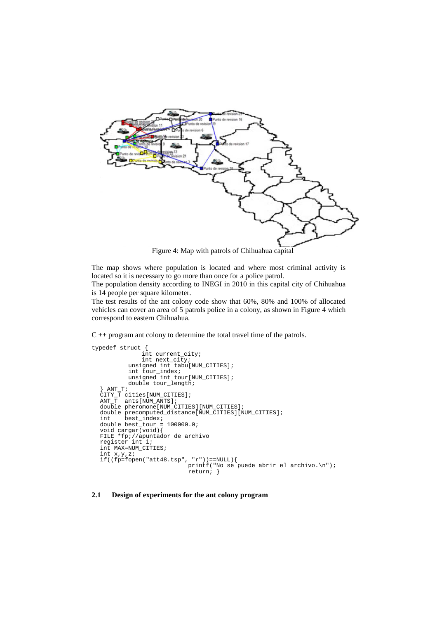

Figure 4: Map with patrols of Chihuahua capital

The map shows where population is located and where most criminal activity is located so it is necessary to go more than once for a police patrol.

The population density according to INEGI in 2010 in this capital city of Chihuahua is 14 people per square kilometer.

The test results of the ant colony code show that 60%, 80% and 100% of allocated vehicles can cover an area of 5 patrols police in a colony, as shown in Figure 4 which correspond to eastern Chihuahua.

C ++ program ant colony to determine the total travel time of the patrols.

```
typedef struct { 
   int current_city; 
 int next_city; 
   unsigned int tabu[NUM_CITIES]; 
   int tour_index; 
 unsigned int tour[NUM_CITIES]; 
  double tour_length;<br>} ANT T;
   ANT_T;\text{CTTY}\_T cities[NUM_CITIES];
  ANT_T ants[NUM_ANTS]; 
  double pheromone[NUM_CITIES][NUM_CITIES]; 
  double precomputed_distance[NUM_CITIES][NUM_CITIES]; 
  int best_index; 
  double best_tour = 100000.0; 
void cargar(void){ 
  FILE *fp;//apuntador de archivo 
  register int i; 
int MAX=NUM_CITIES; 
  int x,y,z; 
  if((fp=fopen("att48.tsp", "r"))==NULL){ 
 printf("No se puede abrir el archivo.\n"); 
                                 return; }
```
#### **2.1 Design of experiments for the ant colony program**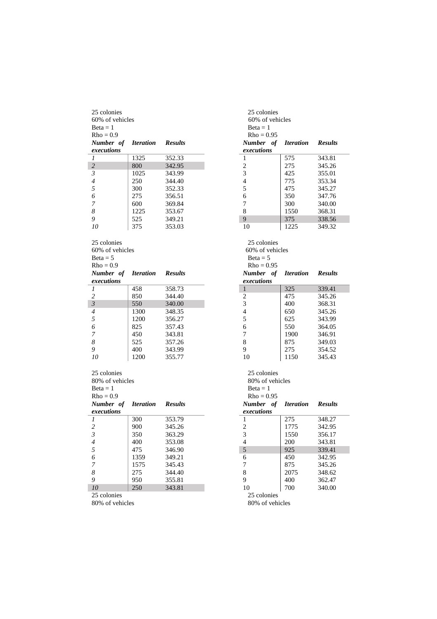| 25 colonies      |                                |                | 25 colonies              |                                |                |
|------------------|--------------------------------|----------------|--------------------------|--------------------------------|----------------|
| 60% of vehicles  |                                |                | 60% of vehicles          |                                |                |
| $Beta = 1$       |                                |                | $Beta = 1$               |                                |                |
| $Rho = 0.9$      |                                |                | $Rho = 0.95$             |                                |                |
| Number of        | <i><u><b>Iteration</b></u></i> | <b>Results</b> | Number of                | <i><u><b>Iteration</b></u></i> | <b>Results</b> |
| executions       |                                |                | executions               |                                |                |
| 1                | 1325                           | 352.33         | 1                        | 575                            | 343.81         |
| $\sqrt{2}$       | 800                            | 342.95         | $\mathbf{2}$             | 275                            | 345.26         |
| 3                | 1025                           | 343.99         | 3                        | 425                            | 355.01         |
| $\overline{4}$   | 250                            | 344.40         | $\overline{4}$           | 775                            | 353.34         |
| 5                | 300                            | 352.33         | 5                        | 475                            | 345.27         |
| 6                | 275                            | 356.51         | 6                        | 350                            | 347.76         |
| $\boldsymbol{7}$ | 600                            | 369.84         | 7                        | 300                            | 340.00         |
| $\boldsymbol{8}$ | 1225                           | 353.67         | 8                        | 1550                           | 368.31         |
| 9                | 525                            | 349.21         | 9                        | 375                            | 338.56         |
| 10               | 375                            | 353.03         | 10                       | 1225                           | 349.32         |
| 25 colonies      |                                |                | 25 colonies              |                                |                |
| 60% of vehicles  |                                |                | 60% of vehicles          |                                |                |
| $Beta = 5$       |                                |                | $Beta = 5$               |                                |                |
| $Rho = 0.9$      |                                |                | $Rho = 0.95$             |                                |                |
| Number of        | <b>Iteration</b>               | <b>Results</b> | Number of                | <b>Iteration</b>               | <b>Results</b> |
| executions       |                                |                | executions               |                                |                |
| 1                | 458                            | 358.73         | $\mathbf{1}$             | 325                            | 339.41         |
| $\overline{c}$   | 850                            | 344.40         | $\boldsymbol{2}$         | 475                            | 345.26         |
| $\mathfrak{Z}$   | 550                            | 340.00         | 3                        | 400                            | 368.31         |
| $\overline{4}$   | 1300                           | 348.35         | $\overline{\mathcal{L}}$ | 650                            | 345.26         |
| 5                | 1200                           | 356.27         | 5                        | 625                            | 343.99         |
| 6                | 825                            | 357.43         | 6                        | 550                            | 364.05         |
| 7                | 450                            | 343.81         | 7                        | 1900                           | 346.91         |
| 8                | 525                            | 357.26         | 8                        | 875                            | 349.03         |
| 9                | 400                            | 343.99         | 9                        | 275                            | 354.52         |
| 10               | 1200                           | 355.77         | 10                       | 1150                           | 345.43         |
| 25 colonies      |                                |                | 25 colonies              |                                |                |
| 80% of vehicles  |                                |                | 80% of vehicles          |                                |                |
| $Beta = 1$       |                                |                | $Beta = 1$               |                                |                |
| $Rho = 0.9$      |                                |                | $Rho = 0.95$             |                                |                |
| Number of        | <i><u><b>Iteration</b></u></i> | <b>Results</b> | Number of                | <i><u><b>Iteration</b></u></i> | <b>Results</b> |
| executions       |                                |                |                          |                                |                |
| 1                |                                |                | executions<br>1          | 275                            |                |
|                  | 300                            | 353.79         |                          | 1775                           | 348.27         |
| $\overline{c}$   | 900                            | 345.26         | $\mathbf{2}$             |                                | 342.95         |
| 3                | 350                            | 363.29         | 3                        | 1550                           | 356.17         |
| $\boldsymbol{4}$ | 400                            | 353.08         | $\overline{4}$           | 200                            | 343.81         |
| 5                | 475                            | 346.90         | $\sqrt{5}$               | 925                            | 339.41         |
| 6                | 1359                           | 349.21         | $\epsilon$               | 450                            | 342.95         |
| 7                | 1575                           | 345.43         | 7                        | 875                            | 345.26         |
| 8                | 275                            | 344.40         | $\,8\,$                  | 2075                           | 348.62         |
| 9                | 950                            | 355.81         | 9                        | 400                            | 362.47         |
| ${\it 10}$       | 250                            | 343.81         | 10                       | 700                            | 340.00         |
|                  |                                |                |                          |                                |                |

| 25 colonies             |                                |                |                 | 25 colonies     |                  |                |
|-------------------------|--------------------------------|----------------|-----------------|-----------------|------------------|----------------|
| 60% of vehicles         |                                |                | 60% of vehicles |                 |                  |                |
| Beta = 1                |                                |                |                 | $Beta = 1$      |                  |                |
| $Rho = 0.9$             |                                |                |                 | $Rho = 0.95$    |                  |                |
| Number of               | <i><u><b>Iteration</b></u></i> | <b>Results</b> |                 | Number of       | <b>Iteration</b> | <b>Results</b> |
| executions              |                                |                |                 | executions      |                  |                |
| 1                       | 1325                           | 352.33         | 1               |                 | 575              | 343.81         |
| $\overline{c}$          | 800                            | 342.95         | $\overline{2}$  |                 | 275              | 345.26         |
| 3                       | 1025                           | 343.99         | 3               |                 | 425              | 355.01         |
| 4                       | 250                            | 344.40         | $\overline{4}$  |                 | 775              | 353.34         |
| 5                       | 300                            | 352.33         | 5               |                 | 475              | 345.27         |
| 6                       | 275                            | 356.51         | 6               |                 | 350              | 347.76         |
| 7                       | 600                            | 369.84         | 7               |                 | 300              | 340.00         |
| 8                       | 1225                           | 353.67         | 8               |                 | 1550             | 368.31         |
| 9                       | 525                            | 349.21         | 9               |                 | 375              | 338.56         |
| 10                      | 375                            | 353.03         | 10              |                 | 1225             | 349.32         |
|                         |                                |                |                 |                 |                  |                |
|                         |                                |                |                 |                 |                  |                |
| 25 colonies             |                                |                |                 | 25 colonies     |                  |                |
| 60% of vehicles         |                                |                |                 | 60% of vehicles |                  |                |
| Beta = $5$              |                                |                |                 | $Beta = 5$      |                  |                |
| $Rho = 0.9$             |                                |                |                 | $Rho = 0.95$    |                  |                |
| Number of               | <b>Iteration</b>               | <b>Results</b> |                 | Number of       | <b>Iteration</b> | <b>Results</b> |
| executions              |                                |                |                 | executions      |                  |                |
| 1                       | 458                            | 358.73         | $\mathbf{1}$    |                 | 325              | 339.41         |
| $\overline{\mathbf{c}}$ | 850                            | 344.40         | 2               |                 | 475              | 345.26         |
| $\mathfrak{z}$          | 550                            | 340.00         | 3               |                 | 400              | 368.31         |
| 4                       | 1300                           | 348.35         | 4               |                 | 650              | 345.26         |
| 5                       | 1200                           | 356.27         | 5               |                 | 625              | 343.99         |
| 6                       | 825                            | 357.43         | 6               |                 | 550              | 364.05         |
| 7                       | 450                            | 343.81         | 7               |                 | 1900             | 346.91         |
| 8                       | 525                            | 357.26         | 8               |                 | 875              | 349.03         |
| 9                       | 400                            | 343.99         | 9               |                 | 275              | 354.52         |
| 10                      | 1200                           | 355.77         | 10              |                 | 1150             | 345.43         |
|                         |                                |                |                 |                 |                  |                |
| 25 colonies             |                                |                |                 | 25 colonies     |                  |                |
| 80% of vehicles         |                                |                |                 | 80% of vehicles |                  |                |
| Beta = 1                |                                |                |                 | $Beta = 1$      |                  |                |
| $Rho = 0.9$             |                                |                |                 | $Rho = 0.95$    |                  |                |
| Number of               | <b>Iteration</b>               | <b>Results</b> |                 | Number of       | <b>Iteration</b> | <b>Results</b> |
| executions              |                                |                |                 | executions      |                  |                |
| 1                       | 300                            | 353.79         | 1               |                 | 275              | 348.27         |
| $\overline{\mathbf{c}}$ | 900                            | 345.26         | $\overline{2}$  |                 | 1775             | 342.95         |
| 3                       | 350                            | 363.29         | 3               |                 | 1550             | 356.17         |
| 4                       | 400                            | 353.08         | 4               |                 | 200              | 343.81         |
| 5                       | 475                            | 346.90         | 5               |                 | 925              | 339.41         |
| 6                       | 1359                           | 349.21         |                 |                 | 450              | 342.95         |
|                         |                                |                | 6               |                 |                  |                |
| 7                       | 1575                           | 345.43         | 7               |                 | 875              | 345.26         |
| 8                       | 275                            | 344.40         | 8               |                 | 2075             | 348.62         |
| 9                       | 950                            | 355.81         | 9               |                 | 400              | 362.47         |
| 10                      | 250                            | 343.81         | 10              |                 | 700              | 340.00         |
| 25 colonies             |                                |                |                 | 25 colonies     |                  |                |
| 80% of vehicles         |                                |                |                 | 80% of vehicles |                  |                |
|                         |                                |                |                 |                 |                  |                |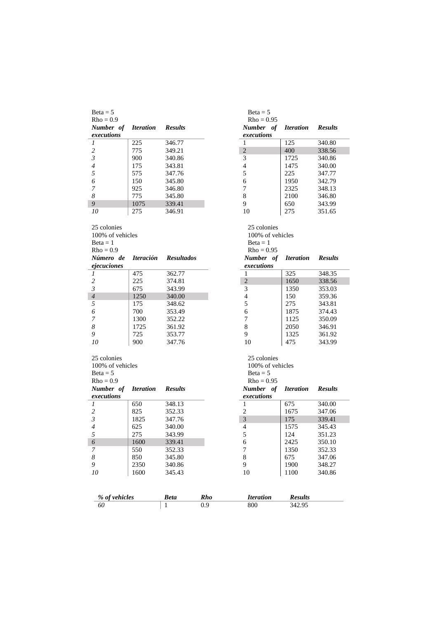| $Beta = 5$                                    |                         |                   |            | $Beta = 5$                                    |                                |                |
|-----------------------------------------------|-------------------------|-------------------|------------|-----------------------------------------------|--------------------------------|----------------|
| $Rho = 0.9$                                   |                         |                   |            | $Rho = 0.95$                                  |                                |                |
| Number of<br>executions                       | <b>Iteration</b>        | <b>Results</b>    |            | Number of<br>executions                       | <b>Iteration</b>               | <b>Results</b> |
| 1                                             | 225                     | 346.77            |            | 1                                             | 125                            | 340.80         |
| $\overline{c}$                                | 775                     | 349.21            |            | $\sqrt{2}$                                    | 400                            | 338.56         |
| $\mathfrak{Z}$                                | 900                     | 340.86            |            | 3                                             | 1725                           | 340.86         |
| $\overline{4}$                                | 175                     | 343.81            |            | $\overline{4}$                                | 1475                           | 340.00         |
| 5                                             | 575                     | 347.76            |            | 5                                             | 225                            | 347.77         |
| 6                                             | 150                     | 345.80            |            | 6                                             | 1950                           | 342.79         |
| 7                                             | 925                     | 346.80            |            | 7                                             | 2325                           | 348.13         |
| 8                                             | 775                     | 345.80            |            | 8                                             | 2100                           | 346.80         |
| 9                                             | 1075                    | 339.41            |            | 9                                             | 650                            | 343.99         |
| 10                                            | 275                     | 346.91            |            | 10                                            | 275                            | 351.65         |
| 25 colonies<br>100% of vehicles<br>$Beta = 1$ |                         |                   |            | 25 colonies<br>100% of vehicles<br>$Beta = 1$ |                                |                |
| $Rho = 0.9$                                   |                         |                   |            | $Rho = 0.95$                                  |                                |                |
| Número de<br>ejecuciones                      | <i><b>Iteración</b></i> | <b>Resultados</b> |            | Number of<br>executions                       | <i><u><b>Iteration</b></u></i> | <b>Results</b> |
| 1                                             | 475                     | 362.77            |            | 1                                             | 325                            | 348.35         |
| $\overline{c}$                                | 225                     | 374.81            |            | $\sqrt{2}$                                    | 1650                           | 338.56         |
| $\mathfrak{Z}$                                | 675                     | 343.99            |            | 3                                             | 1350                           | 353.03         |
| $\overline{4}$                                | 1250                    | 340.00            |            | $\overline{4}$                                | 150                            | 359.36         |
| 5                                             | 175                     | 348.62            |            | 5                                             | 275                            | 343.81         |
| 6                                             | 700                     | 353.49            |            | 6                                             | 1875                           | 374.43         |
| 7                                             | 1300                    | 352.22            |            | $\overline{7}$                                | 1125                           | 350.09         |
| 8                                             | 1725                    | 361.92            |            | $\,$ 8 $\,$                                   | 2050                           | 346.91         |
| 9                                             | 725                     | 353.77            |            | 9                                             | 1325                           | 361.92         |
| 10                                            | 900                     | 347.76            |            | 10                                            | 475                            | 343.99         |
| 25 colonies                                   |                         |                   |            | 25 colonies                                   |                                |                |
| 100% of vehicles                              |                         |                   |            | 100% of vehicles                              |                                |                |
| $Beta = 5$                                    |                         |                   |            | $Beta = 5$                                    |                                |                |
| $Rho = 0.9$                                   |                         |                   |            | $Rho = 0.95$                                  |                                |                |
| Number of<br>executions                       | <b>Iteration</b>        | <b>Results</b>    |            | Number of<br>executions                       | <i><u><b>Iteration</b></u></i> | <b>Results</b> |
| 1                                             | 650                     | 348.13            |            | 1                                             | 675                            | 340.00         |
| $\sqrt{2}$                                    | 825                     | 352.33            |            | $\overline{2}$                                | 1675                           | 347.06         |
| $\mathfrak{Z}$                                | 1825                    | 347.76            |            | 3                                             | 175                            | 339.41         |
| $\overline{4}$                                | 625                     | 340.00            |            | $\overline{\mathcal{L}}$                      | 1575                           | 345.43         |
| 5                                             | 275                     | 343.99            |            | 5                                             | 124                            | 351.23         |
| 6                                             | 1600                    | 339.41            |            | $\epsilon$                                    | 2425                           | 350.10         |
| 7                                             | 550                     | 352.33            |            | $\sqrt{ }$                                    | 1350                           | 352.33         |
| 8                                             | 850                     | 345.80            |            | $\,8\,$                                       | 675                            | 347.06         |
| 9                                             | 2350                    | 340.86            |            | 9                                             | 1900                           | 348.27         |
| 10                                            | 1600                    | 345.43            |            | 10                                            | 1100                           | 340.86         |
|                                               |                         |                   |            |                                               |                                |                |
| % of vehicles                                 |                         | <b>Beta</b>       | <b>Rho</b> | <b>Iteration</b>                              | <b>Results</b>                 |                |

*60* 1 0.9 800 342.95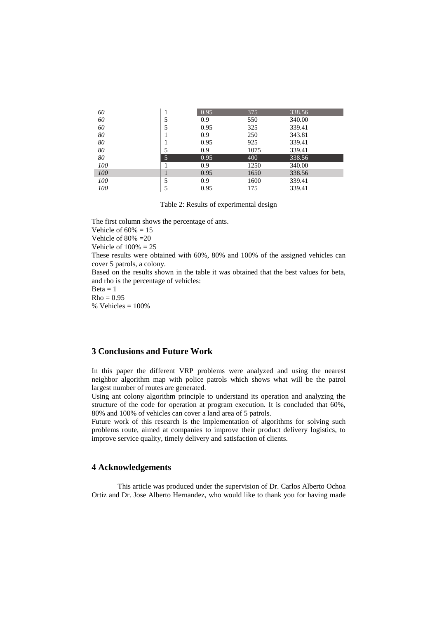| 60  |   | 0.95 | 375  | 338.56 |  |
|-----|---|------|------|--------|--|
| 60  |   | 0.9  | 550  | 340.00 |  |
| 60  | 5 | 0.95 | 325  | 339.41 |  |
| 80  |   | 0.9  | 250  | 343.81 |  |
| 80  |   | 0.95 | 925  | 339.41 |  |
| 80  |   | 0.9  | 1075 | 339.41 |  |
| 80  | 5 | 0.95 | 400  | 338.56 |  |
| 100 |   | 0.9  | 1250 | 340.00 |  |
| 100 |   | 0.95 | 1650 | 338.56 |  |
| 100 | 5 | 0.9  | 1600 | 339.41 |  |
| 100 |   | 0.95 | 175  | 339.41 |  |

Table 2: Results of experimental design

The first column shows the percentage of ants. Vehicle of  $60\% = 15$ Vehicle of  $80\% = 20$ Vehicle of  $100% = 25$ These results were obtained with 60%, 80% and 100% of the assigned vehicles can cover 5 patrols, a colony. Based on the results shown in the table it was obtained that the best values for beta, and rho is the percentage of vehicles:  $Beta = 1$  $Rho = 0.95$  $%$  Vehicles = 100%

# **3 Conclusions and Future Work**

In this paper the different VRP problems were analyzed and using the nearest neighbor algorithm map with police patrols which shows what will be the patrol largest number of routes are generated.

Using ant colony algorithm principle to understand its operation and analyzing the structure of the code for operation at program execution. It is concluded that 60%, 80% and 100% of vehicles can cover a land area of 5 patrols.

Future work of this research is the implementation of algorithms for solving such problems route, aimed at companies to improve their product delivery logistics, to improve service quality, timely delivery and satisfaction of clients.

#### **4 Acknowledgements**

This article was produced under the supervision of Dr. Carlos Alberto Ochoa Ortiz and Dr. Jose Alberto Hernandez, who would like to thank you for having made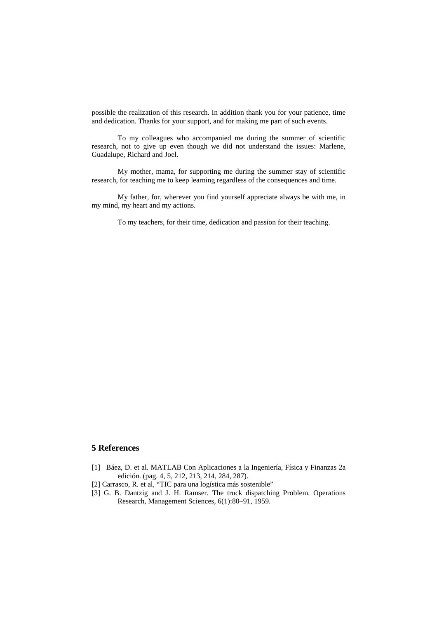possible the realization of this research. In addition thank you for your patience, time and dedication. Thanks for your support, and for making me part of such events.

To my colleagues who accompanied me during the summer of scientific research, not to give up even though we did not understand the issues: Marlene, Guadalupe, Richard and Joel.

My mother, mama, for supporting me during the summer stay of scientific research, for teaching me to keep learning regardless of the consequences and time.

My father, for, wherever you find yourself appreciate always be with me, in my mind, my heart and my actions.

To my teachers, for their time, dedication and passion for their teaching.

## **5 References**

- [1] Báez, D. et al. MATLAB Con Aplicaciones a la Ingeniería, Física y Finanzas 2a edición. (pag. 4, 5, 212, 213, 214, 284, 287).
- [2] Carrasco, R. et al, "TIC para una logística más sostenible"
- [3] G. B. Dantzig and J. H. Ramser. The truck dispatching Problem. Operations Research, Management Sciences, 6(1):80–91, 1959.